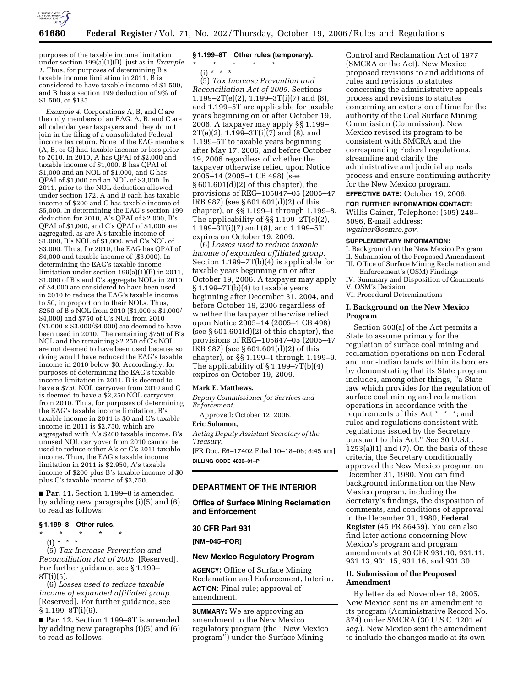

purposes of the taxable income limitation under section 199(a)(1)(B), just as in *Example 1.* Thus, for purposes of determining B's taxable income limitation in 2011, B is considered to have taxable income of \$1,500, and B has a section 199 deduction of 9% of \$1,500, or \$135.

*Example 4.* Corporations A, B, and C are the only members of an EAG. A, B, and C are all calendar year taxpayers and they do not join in the filing of a consolidated Federal income tax return. None of the EAG members (A, B, or C) had taxable income or loss prior to 2010. In 2010, A has QPAI of \$2,000 and taxable income of \$1,000, B has QPAI of \$1,000 and an NOL of \$1,000, and C has QPAI of \$1,000 and an NOL of \$3,000. In 2011, prior to the NOL deduction allowed under section 172, A and B each has taxable income of \$200 and C has taxable income of \$5,000. In determining the EAG's section 199 deduction for 2010, A's QPAI of \$2,000, B's QPAI of \$1,000, and C's QPAI of \$1,000 are aggregated, as are A's taxable income of \$1,000, B's NOL of \$1,000, and C's NOL of \$3,000. Thus, for 2010, the EAG has QPAI of \$4,000 and taxable income of (\$3,000). In determining the EAG's taxable income limitation under section 199(a)(1)(B) in 2011, \$1,000 of B's and C's aggregate NOLs in 2010 of \$4,000 are considered to have been used in 2010 to reduce the EAG's taxable income to \$0, in proportion to their NOLs. Thus, \$250 of B's NOL from 2010 (\$1,000 x \$1,000/ \$4,000) and \$750 of C's NOL from 2010 (\$1,000 x \$3,000/\$4,000) are deemed to have been used in 2010. The remaining \$750 of B's NOL and the remaining \$2,250 of C's NOL are not deemed to have been used because so doing would have reduced the EAG's taxable income in 2010 below \$0. Accordingly, for purposes of determining the EAG's taxable income limitation in 2011, B is deemed to have a \$750 NOL carryover from 2010 and C is deemed to have a \$2,250 NOL carryover from 2010. Thus, for purposes of determining the EAG's taxable income limitation, B's taxable income in 2011 is \$0 and C's taxable income in 2011 is \$2,750, which are aggregated with A's \$200 taxable income. B's unused NOL carryover from 2010 cannot be used to reduce either A's or C's 2011 taxable income. Thus, the EAG's taxable income limitation in 2011 is \$2,950, A's taxable income of \$200 plus B's taxable income of \$0 plus C's taxable income of \$2,750.

■ **Par. 11.** Section 1.199–8 is amended by adding new paragraphs (i)(5) and (6) to read as follows:

### **§ 1.199–8 Other rules.**

\* \* \* \* \* (i) \* \* \*

(5) *Tax Increase Prevention and Reconciliation Act of 2005.* [Reserved]. For further guidance, see § 1.199– 8T(i)(5).

(6) *Losses used to reduce taxable income of expanded affiliated group.*  [Reserved]. For further guidance, see  $§ 1.199 - 8T(i)(6).$ 

■ Par. 12. Section 1.199-8T is amended by adding new paragraphs (i)(5) and (6) to read as follows:

# **§ 1.199–8T Other rules (temporary).**

\* \* \* \* \*  $(i) * * * *$ 

(5) *Tax Increase Prevention and Reconciliation Act of 2005.* Sections  $1.199 - 2T(e)(2)$ ,  $1.199 - 3T(i)(7)$  and  $(8)$ , and 1.199–5T are applicable for taxable years beginning on or after October 19, 2006. A taxpayer may apply §§ 1.199–  $2T(e)(2)$ , 1.199-3 $T(i)(7)$  and  $(8)$ , and 1.199–5T to taxable years beginning after May 17, 2006, and before October 19, 2006 regardless of whether the taxpayer otherwise relied upon Notice 2005–14 (2005–1 CB 498) (see § 601.601(d)(2) of this chapter), the provisions of REG–105847–05 (2005–47 IRB 987) (see § 601.601(d)(2) of this chapter), or §§ 1.199–1 through 1.199–8. The applicability of §§ 1.199–2T(e)(2), 1.199–3T(i)(7) and (8), and 1.199–5T expires on October 19, 2009.

(6) *Losses used to reduce taxable income of expanded affiliated group.*  Section 1.199–7T(b)(4) is applicable for taxable years beginning on or after October 19, 2006. A taxpayer may apply § 1.199–7T(b)(4) to taxable years beginning after December 31, 2004, and before October 19, 2006 regardless of whether the taxpayer otherwise relied upon Notice 2005–14 (2005–1 CB 498) (see  $§ 601.601(d)(2)$  of this chapter), the provisions of REG–105847–05 (2005–47 IRB 987) (see § 601.601(d)(2) of this chapter), or §§ 1.199–1 through 1.199–9. The applicability of  $\S 1.199 - 7T(b)(4)$ expires on October 19, 2009.

#### **Mark E. Matthews,**

*Deputy Commissioner for Services and Enforcement.* 

Approved: October 12, 2006.

#### **Eric Solomon,**

*Acting Deputy Assistant Secretary of the Treasury.* 

[FR Doc. E6–17402 Filed 10–18–06; 8:45 am] **BILLING CODE 4830–01–P** 

# **DEPARTMENT OF THE INTERIOR**

**Office of Surface Mining Reclamation and Enforcement** 

#### **30 CFR Part 931**

**[NM–045–FOR]** 

### **New Mexico Regulatory Program**

**AGENCY:** Office of Surface Mining Reclamation and Enforcement, Interior. **ACTION:** Final rule; approval of amendment.

**SUMMARY:** We are approving an amendment to the New Mexico regulatory program (the ''New Mexico program'') under the Surface Mining

Control and Reclamation Act of 1977 (SMCRA or the Act). New Mexico proposed revisions to and additions of rules and revisions to statutes concerning the administrative appeals process and revisions to statutes concerning an extension of time for the authority of the Coal Surface Mining Commission (Commission). New Mexico revised its program to be consistent with SMCRA and the corresponding Federal regulations, streamline and clarify the administrative and judicial appeals process and ensure continuing authority for the New Mexico program.

**EFFECTIVE DATE:** October 19, 2006.

#### **FOR FURTHER INFORMATION CONTACT:**

Willis Gainer, Telephone: (505) 248– 5096, E-mail address: *wgainer@osmre.gov.* 

#### **SUPPLEMENTARY INFORMATION:**

I. Background on the New Mexico Program II. Submission of the Proposed Amendment III. Office of Surface Mining Reclamation and

Enforcement's (OSM) Findings

IV. Summary and Disposition of Comments V. OSM's Decision

VI. Procedural Determinations

### **I. Background on the New Mexico Program**

Section 503(a) of the Act permits a State to assume primacy for the regulation of surface coal mining and reclamation operations on non-Federal and non-Indian lands within its borders by demonstrating that its State program includes, among other things, ''a State law which provides for the regulation of surface coal mining and reclamation operations in accordance with the requirements of this Act \* \* \*; and rules and regulations consistent with regulations issued by the Secretary pursuant to this Act.'' See 30 U.S.C.  $1253(a)(1)$  and  $(7)$ . On the basis of these criteria, the Secretary conditionally approved the New Mexico program on December 31, 1980. You can find background information on the New Mexico program, including the Secretary's findings, the disposition of comments, and conditions of approval in the December 31, 1980, **Federal Register** (45 FR 86459). You can also find later actions concerning New Mexico's program and program amendments at 30 CFR 931.10, 931.11, 931.13, 931.15, 931.16, and 931.30.

### **II. Submission of the Proposed Amendment**

By letter dated November 18, 2005, New Mexico sent us an amendment to its program (Administrative Record No. 874) under SMCRA (30 U.S.C. 1201 *et seq.*). New Mexico sent the amendment to include the changes made at its own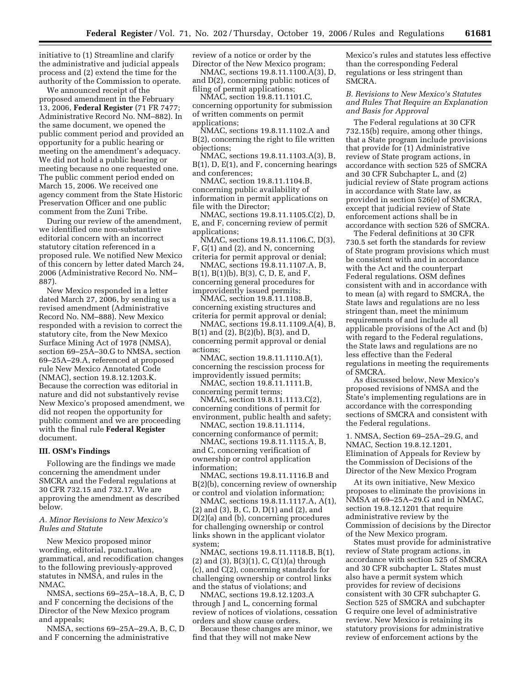initiative to (1) Streamline and clarify the administrative and judicial appeals process and (2) extend the time for the authority of the Commission to operate.

We announced receipt of the proposed amendment in the February 13, 2006, **Federal Register** (71 FR 7477; Administrative Record No. NM–882). In the same document, we opened the public comment period and provided an opportunity for a public hearing or meeting on the amendment's adequacy. We did not hold a public hearing or meeting because no one requested one. The public comment period ended on March 15, 2006. We received one agency comment from the State Historic Preservation Officer and one public comment from the Zuni Tribe.

During our review of the amendment, we identified one non-substantive editorial concern with an incorrect statutory citation referenced in a proposed rule. We notified New Mexico of this concern by letter dated March 24, 2006 (Administrative Record No. NM– 887).

New Mexico responded in a letter dated March 27, 2006, by sending us a revised amendment (Administrative Record No. NM–888). New Mexico responded with a revision to correct the statutory cite, from the New Mexico Surface Mining Act of 1978 (NMSA), section 69–25A–30.G to NMSA, section 69–25A–29.A, referenced at proposed rule New Mexico Annotated Code (NMAC), section 19.8.12.1203.K. Because the correction was editorial in nature and did not substantively revise New Mexico's proposed amendment, we did not reopen the opportunity for public comment and we are proceeding with the final rule **Federal Register**  document.

### **III. OSM's Findings**

Following are the findings we made concerning the amendment under SMCRA and the Federal regulations at 30 CFR 732.15 and 732.17. We are approving the amendment as described below.

### *A. Minor Revisions to New Mexico's Rules and Statute*

New Mexico proposed minor wording, editorial, punctuation, grammatical, and recodification changes to the following previously-approved statutes in NMSA, and rules in the NMAC.

NMSA, sections 69–25A–18.A, B, C, D and F concerning the decisions of the Director of the New Mexico program and appeals;

NMSA, sections 69–25A–29.A, B, C, D and F concerning the administrative

review of a notice or order by the Director of the New Mexico program;

NMAC, sections 19.8.11.1100.A(3), D, and D(2), concerning public notices of filing of permit applications;

NMAC, section 19.8.11.1101.C, concerning opportunity for submission of written comments on permit applications;

NMAC, sections 19.8.11.1102.A and B(2), concerning the right to file written objections;

NMAC, sections 19.8.11.1103.A(3), B, B(1), D, E(1), and F, concerning hearings and conferences;

NMAC, section 19.8.11.1104.B, concerning public availability of information in permit applications on file with the Director;

NMAC, sections 19.8.11.1105.C(2), D, E, and F, concerning review of permit applications;

NMAC, sections 19.8.11.1106.C, D(3), F, G(1) and (2), and N, concerning criteria for permit approval or denial;

NMAC, sections 19.8.11.1107.A, B, B(1), B(1)(b), B(3), C, D, E, and F, concerning general procedures for improvidently issued permits;

NMAC, section 19.8.11.1108.B, concerning existing structures and criteria for permit approval or denial;

NMAC, sections 19.8.11.1109.A(4), B, B(1) and (2), B(2)(b), B(3), and D, concerning permit approval or denial actions;

NMAC, section 19.8.11.1110.A(1), concerning the rescission process for improvidently issued permits;

NMAC, section 19.8.11.1111.B, concerning permit terms;

NMAC, section 19.8.11.1113.C(2), concerning conditions of permit for environment, public health and safety;

NMAC, section 19.8.11.1114, concerning conformance of permit;

NMAC, sections 19.8.11.1115.A, B, and C, concerning verification of ownership or control application information;

NMAC, sections 19.8.11.1116.B and B(2)(b), concerning review of ownership or control and violation information;

NMAC, sections 19.8.11.1117.A, A(1), (2) and (3), B, C, D, D(1) and (2), and D(2)(a) and (b), concerning procedures for challenging ownership or control links shown in the applicant violator system;

NMAC, sections 19.8.11.1118.B, B(1), (2) and (3), B(3)(1), C, C(1)(a) through (c), and C(2), concerning standards for challenging ownership or control links and the status of violations; and

NMAC, sections 19.8.12.1203.A through J and L, concerning formal review of notices of violations, cessation orders and show cause orders.

Because these changes are minor, we find that they will not make New

Mexico's rules and statutes less effective than the corresponding Federal regulations or less stringent than SMCRA.

## *B. Revisions to New Mexico's Statutes and Rules That Require an Explanation and Basis for Approval*

The Federal regulations at 30 CFR 732.15(b) require, among other things, that a State program include provisions that provide for (1) Administrative review of State program actions, in accordance with section 525 of SMCRA and 30 CFR Subchapter L, and (2) judicial review of State program actions in accordance with State law, as provided in section 526(e) of SMCRA, except that judicial review of State enforcement actions shall be in accordance with section 526 of SMCRA.

The Federal definitions at 30 CFR 730.5 set forth the standards for review of State program provisions which must be consistent with and in accordance with the Act and the counterpart Federal regulations. OSM defines consistent with and in accordance with to mean (a) with regard to SMCRA, the State laws and regulations are no less stringent than, meet the minimum requirements of and include all applicable provisions of the Act and (b) with regard to the Federal regulations, the State laws and regulations are no less effective than the Federal regulations in meeting the requirements of SMCRA.

As discussed below, New Mexico's proposed revisions of NMSA and the State's implementing regulations are in accordance with the corresponding sections of SMCRA and consistent with the Federal regulations.

1. NMSA, Section 69–25A–29.G, and NMAC, Section 19.8.12.1201, Elimination of Appeals for Review by the Commission of Decisions of the Director of the New Mexico Program

At its own initiative, New Mexico proposes to eliminate the provisions in NMSA at 69–25A–29.G and in NMAC, section 19.8.12.1201 that require administrative review by the Commission of decisions by the Director of the New Mexico program.

States must provide for administrative review of State program actions, in accordance with section 525 of SMCRA and 30 CFR subchapter L. States must also have a permit system which provides for review of decisions consistent with 30 CFR subchapter G. Section 525 of SMCRA and subchapter G require one level of administrative review. New Mexico is retaining its statutory provisions for administrative review of enforcement actions by the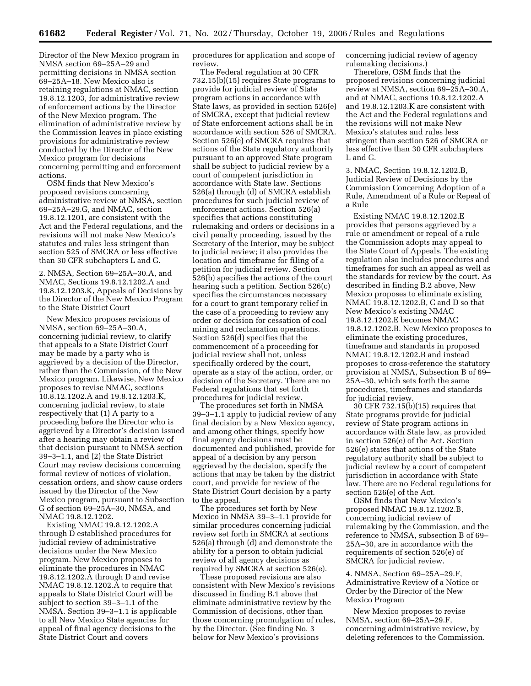Director of the New Mexico program in NMSA section 69–25A–29 and permitting decisions in NMSA section 69–25A–18. New Mexico also is retaining regulations at NMAC, section 19.8.12.1203, for administrative review of enforcement actions by the Director of the New Mexico program. The elimination of administrative review by the Commission leaves in place existing provisions for administrative review conducted by the Director of the New Mexico program for decisions concerning permitting and enforcement actions.

OSM finds that New Mexico's proposed revisions concerning administrative review at NMSA, section 69–25A–29.G, and NMAC, section 19.8.12.1201, are consistent with the Act and the Federal regulations, and the revisions will not make New Mexico's statutes and rules less stringent than section 525 of SMCRA or less effective than 30 CFR subchapters L and G.

2. NMSA, Section 69–25A–30.A, and NMAC, Sections 19.8.12.1202.A and 19.8.12.1203.K, Appeals of Decisions by the Director of the New Mexico Program to the State District Court

New Mexico proposes revisions of NMSA, section 69–25A–30.A, concerning judicial review, to clarify that appeals to a State District Court may be made by a party who is aggrieved by a decision of the Director, rather than the Commission, of the New Mexico program. Likewise, New Mexico proposes to revise NMAC, sections 10.8.12.1202.A and 19.8.12.1203.K, concerning judicial review, to state respectively that (1) A party to a proceeding before the Director who is aggrieved by a Director's decision issued after a hearing may obtain a review of that decision pursuant to NMSA section 39–3–1.1, and (2) the State District Court may review decisions concerning formal review of notices of violation, cessation orders, and show cause orders issued by the Director of the New Mexico program, pursuant to Subsection G of section 69–25A–30, NMSA, and NMAC 19.8.12.1202.

Existing NMAC 19.8.12.1202.A through D established procedures for judicial review of administrative decisions under the New Mexico program. New Mexico proposes to eliminate the procedures in NMAC 19.8.12.1202.A through D and revise NMAC 19.8.12.1202.A to require that appeals to State District Court will be subject to section 39–3–1.1 of the NMSA. Section 39–3–1.1 is applicable to all New Mexico State agencies for appeal of final agency decisions to the State District Court and covers

procedures for application and scope of review.

The Federal regulation at 30 CFR 732.15(b)(15) requires State programs to provide for judicial review of State program actions in accordance with State laws, as provided in section 526(e) of SMCRA, except that judicial review of State enforcement actions shall be in accordance with section 526 of SMCRA. Section 526(e) of SMCRA requires that actions of the State regulatory authority pursuant to an approved State program shall be subject to judicial review by a court of competent jurisdiction in accordance with State law. Sections 526(a) through (d) of SMCRA establish procedures for such judicial review of enforcement actions. Section 526(a) specifies that actions constituting rulemaking and orders or decisions in a civil penalty proceeding, issued by the Secretary of the Interior, may be subject to judicial review; it also provides the location and timeframe for filing of a petition for judicial review. Section 526(b) specifies the actions of the court hearing such a petition. Section 526(c) specifies the circumstances necessary for a court to grant temporary relief in the case of a proceeding to review any order or decision for cessation of coal mining and reclamation operations. Section 526(d) specifies that the commencement of a proceeding for judicial review shall not, unless specifically ordered by the court, operate as a stay of the action, order, or decision of the Secretary. There are no Federal regulations that set forth procedures for judicial review.

The procedures set forth in NMSA 39–3–1.1 apply to judicial review of any final decision by a New Mexico agency, and among other things, specify how final agency decisions must be documented and published, provide for appeal of a decision by any person aggrieved by the decision, specify the actions that may be taken by the district court, and provide for review of the State District Court decision by a party to the appeal.

The procedures set forth by New Mexico in NMSA 39–3–1.1 provide for similar procedures concerning judicial review set forth in SMCRA at sections 526(a) through (d) and demonstrate the ability for a person to obtain judicial review of all agency decisions as required by SMCRA at section 526(e).

These proposed revisions are also consistent with New Mexico's revisions discussed in finding B.1 above that eliminate administrative review by the Commission of decisions, other than those concerning promulgation of rules, by the Director. (See finding No. 3 below for New Mexico's provisions

concerning judicial review of agency rulemaking decisions.)

Therefore, OSM finds that the proposed revisions concerning judicial review at NMSA, section 69–25A–30.A, and at NMAC, sections 10.8.12.1202.A and 19.8.12.1203.K are consistent with the Act and the Federal regulations and the revisions will not make New Mexico's statutes and rules less stringent than section 526 of SMCRA or less effective than 30 CFR subchapters L and G.

3. NMAC, Section 19.8.12.1202.B, Judicial Review of Decisions by the Commission Concerning Adoption of a Rule, Amendment of a Rule or Repeal of a Rule

Existing NMAC 19.8.12.1202.E provides that persons aggrieved by a rule or amendment or repeal of a rule the Commission adopts may appeal to the State Court of Appeals. The existing regulation also includes procedures and timeframes for such an appeal as well as the standards for review by the court. As described in finding B.2 above, New Mexico proposes to eliminate existing NMAC 19.8.12.1202.B, C and D so that New Mexico's existing NMAC 19.8.12.1202.E becomes NMAC 19.8.12.1202.B. New Mexico proposes to eliminate the existing procedures, timeframe and standards in proposed NMAC 19.8.12.1202.B and instead proposes to cross-reference the statutory provision at NMSA, Subsection B of 69– 25A–30, which sets forth the same procedures, timeframes and standards for judicial review.

30 CFR 732.15(b)(15) requires that State programs provide for judicial review of State program actions in accordance with State law, as provided in section 526(e) of the Act. Section 526(e) states that actions of the State regulatory authority shall be subject to judicial review by a court of competent jurisdiction in accordance with State law. There are no Federal regulations for section 526(e) of the Act.

OSM finds that New Mexico's proposed NMAC 19.8.12.1202.B, concerning judicial review of rulemaking by the Commission, and the reference to NMSA, subsection B of 69– 25A–30, are in accordance with the requirements of section 526(e) of SMCRA for judicial review.

4. NMSA, Section 69–25A–29.F, Administrative Review of a Notice or Order by the Director of the New Mexico Program

New Mexico proposes to revise NMSA, section 69–25A–29.F, concerning administrative review, by deleting references to the Commission.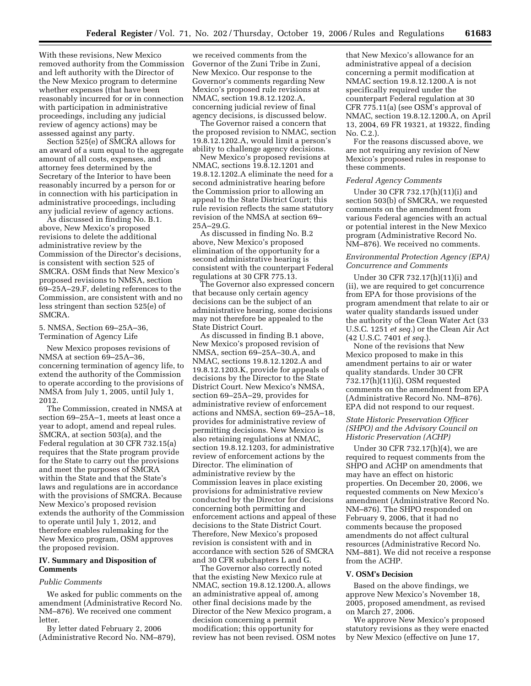With these revisions, New Mexico removed authority from the Commission and left authority with the Director of the New Mexico program to determine whether expenses (that have been reasonably incurred for or in connection with participation in administrative proceedings, including any judicial review of agency actions) may be assessed against any party.

Section 525(e) of SMCRA allows for an award of a sum equal to the aggregate amount of all costs, expenses, and attorney fees determined by the Secretary of the Interior to have been reasonably incurred by a person for or in connection with his participation in administrative proceedings, including any judicial review of agency actions.

As discussed in finding No. B.1. above, New Mexico's proposed revisions to delete the additional administrative review by the Commission of the Director's decisions, is consistent with section 525 of SMCRA. OSM finds that New Mexico's proposed revisions to NMSA, section 69–25A–29.F, deleting references to the Commission, are consistent with and no less stringent than section 525(e) of SMCRA.

5. NMSA, Section 69–25A–36, Termination of Agency Life

New Mexico proposes revisions of NMSA at section 69–25A–36, concerning termination of agency life, to extend the authority of the Commission to operate according to the provisions of NMSA from July 1, 2005, until July 1, 2012.

The Commission, created in NMSA at section 69–25A–1, meets at least once a year to adopt, amend and repeal rules. SMCRA, at section 503(a), and the Federal regulation at 30 CFR 732.15(a) requires that the State program provide for the State to carry out the provisions and meet the purposes of SMCRA within the State and that the State's laws and regulations are in accordance with the provisions of SMCRA. Because New Mexico's proposed revision extends the authority of the Commission to operate until July 1, 2012, and therefore enables rulemaking for the New Mexico program, OSM approves the proposed revision.

### **IV. Summary and Disposition of Comments**

#### *Public Comments*

We asked for public comments on the amendment (Administrative Record No. NM–876). We received one comment letter.

By letter dated February 2, 2006 (Administrative Record No. NM–879),

we received comments from the Governor of the Zuni Tribe in Zuni, New Mexico. Our response to the Governor's comments regarding New Mexico's proposed rule revisions at NMAC, section 19.8.12.1202.A, concerning judicial review of final agency decisions, is discussed below.

The Governor raised a concern that the proposed revision to NMAC, section 19.8.12.1202.A, would limit a person's ability to challenge agency decisions.

New Mexico's proposed revisions at NMAC, sections 19.8.12.1201 and 19.8.12.1202.A eliminate the need for a second administrative hearing before the Commission prior to allowing an appeal to the State District Court; this rule revision reflects the same statutory revision of the NMSA at section 69– 25A–29.G.

As discussed in finding No. B.2 above, New Mexico's proposed elimination of the opportunity for a second administrative hearing is consistent with the counterpart Federal regulations at 30 CFR 775.13.

The Governor also expressed concern that because only certain agency decisions can be the subject of an administrative hearing, some decisions may not therefore be appealed to the State District Court.

As discussed in finding B.1 above, New Mexico's proposed revision of NMSA, section 69–25A–30.A, and NMAC, sections 19.8.12.1202.A and 19.8.12.1203.K, provide for appeals of decisions by the Director to the State District Court. New Mexico's NMSA, section 69–25A–29, provides for administrative review of enforcement actions and NMSA, section 69–25A–18, provides for administrative review of permitting decisions. New Mexico is also retaining regulations at NMAC, section 19.8.12.1203, for administrative review of enforcement actions by the Director. The elimination of administrative review by the Commission leaves in place existing provisions for administrative review conducted by the Director for decisions concerning both permitting and enforcement actions and appeal of these decisions to the State District Court. Therefore, New Mexico's proposed revision is consistent with and in accordance with section 526 of SMCRA and 30 CFR subchapters L and G.

The Governor also correctly noted that the existing New Mexico rule at NMAC, section 19.8.12.1200.A, allows an administrative appeal of, among other final decisions made by the Director of the New Mexico program, a decision concerning a permit modification; this opportunity for review has not been revised. OSM notes

that New Mexico's allowance for an administrative appeal of a decision concerning a permit modification at NMAC section 19.8.12.1200.A is not specifically required under the counterpart Federal regulation at 30 CFR 775.11(a) (see OSM's approval of NMAC, section 19.8.12.1200.A, on April 13, 2004, 69 FR 19321, at 19322, finding No. C.2.).

For the reasons discussed above, we are not requiring any revision of New Mexico's proposed rules in response to these comments.

#### *Federal Agency Comments*

Under 30 CFR 732.17(h)(11)(i) and section 503(b) of SMCRA, we requested comments on the amendment from various Federal agencies with an actual or potential interest in the New Mexico program (Administrative Record No. NM–876). We received no comments.

### *Environmental Protection Agency (EPA) Concurrence and Comments*

Under 30 CFR 732.17(h)(11)(i) and (ii), we are required to get concurrence from EPA for those provisions of the program amendment that relate to air or water quality standards issued under the authority of the Clean Water Act (33 U.S.C. 1251 *et seq.*) or the Clean Air Act (42 U.S.C. 7401 *et seq.*).

None of the revisions that New Mexico proposed to make in this amendment pertains to air or water quality standards. Under 30 CFR 732.17(h)(11)(i), OSM requested comments on the amendment from EPA (Administrative Record No. NM–876). EPA did not respond to our request.

# *State Historic Preservation Officer (SHPO) and the Advisory Council on Historic Preservation (ACHP)*

Under 30 CFR 732.17(h)(4), we are required to request comments from the SHPO and ACHP on amendments that may have an effect on historic properties. On December 20, 2006, we requested comments on New Mexico's amendment (Administrative Record No. NM–876). The SHPO responded on February 9, 2006, that it had no comments because the proposed amendments do not affect cultural resources (Administrative Record No. NM–881). We did not receive a response from the ACHP.

### **V. OSM's Decision**

Based on the above findings, we approve New Mexico's November 18, 2005, proposed amendment, as revised on March 27, 2006.

We approve New Mexico's proposed statutory revisions as they were enacted by New Mexico (effective on June 17,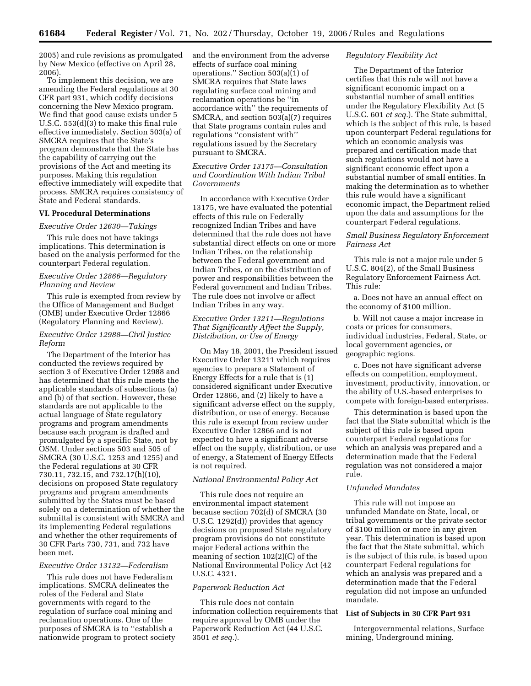2005) and rule revisions as promulgated by New Mexico (effective on April 28, 2006).

To implement this decision, we are amending the Federal regulations at 30 CFR part 931, which codify decisions concerning the New Mexico program. We find that good cause exists under 5 U.S.C. 553(d)(3) to make this final rule effective immediately. Section 503(a) of SMCRA requires that the State's program demonstrate that the State has the capability of carrying out the provisions of the Act and meeting its purposes. Making this regulation effective immediately will expedite that process. SMCRA requires consistency of State and Federal standards.

### **VI. Procedural Determinations**

*Executive Order 12630—Takings* 

This rule does not have takings implications. This determination is based on the analysis performed for the counterpart Federal regulation.

### *Executive Order 12866—Regulatory Planning and Review*

This rule is exempted from review by the Office of Management and Budget (OMB) under Executive Order 12866 (Regulatory Planning and Review).

# *Executive Order 12988—Civil Justice Reform*

The Department of the Interior has conducted the reviews required by section 3 of Executive Order 12988 and has determined that this rule meets the applicable standards of subsections (a) and (b) of that section. However, these standards are not applicable to the actual language of State regulatory programs and program amendments because each program is drafted and promulgated by a specific State, not by OSM. Under sections 503 and 505 of SMCRA (30 U.S.C. 1253 and 1255) and the Federal regulations at 30 CFR 730.11, 732.15, and 732.17(h)(10), decisions on proposed State regulatory programs and program amendments submitted by the States must be based solely on a determination of whether the submittal is consistent with SMCRA and its implementing Federal regulations and whether the other requirements of 30 CFR Parts 730, 731, and 732 have been met.

#### *Executive Order 13132—Federalism*

This rule does not have Federalism implications. SMCRA delineates the roles of the Federal and State governments with regard to the regulation of surface coal mining and reclamation operations. One of the purposes of SMCRA is to ''establish a nationwide program to protect society and the environment from the adverse effects of surface coal mining operations.'' Section 503(a)(1) of SMCRA requires that State laws regulating surface coal mining and reclamation operations be ''in accordance with'' the requirements of SMCRA, and section 503(a)(7) requires that State programs contain rules and regulations ''consistent with'' regulations issued by the Secretary pursuant to SMCRA.

## *Executive Order 13175—Consultation and Coordination With Indian Tribal Governments*

In accordance with Executive Order 13175, we have evaluated the potential effects of this rule on Federally recognized Indian Tribes and have determined that the rule does not have substantial direct effects on one or more Indian Tribes, on the relationship between the Federal government and Indian Tribes, or on the distribution of power and responsibilities between the Federal government and Indian Tribes. The rule does not involve or affect Indian Tribes in any way.

# *Executive Order 13211—Regulations That Significantly Affect the Supply, Distribution, or Use of Energy*

On May 18, 2001, the President issued Executive Order 13211 which requires agencies to prepare a Statement of Energy Effects for a rule that is (1) considered significant under Executive Order 12866, and (2) likely to have a significant adverse effect on the supply, distribution, or use of energy. Because this rule is exempt from review under Executive Order 12866 and is not expected to have a significant adverse effect on the supply, distribution, or use of energy, a Statement of Energy Effects is not required.

### *National Environmental Policy Act*

This rule does not require an environmental impact statement because section 702(d) of SMCRA (30 U.S.C. 1292(d)) provides that agency decisions on proposed State regulatory program provisions do not constitute major Federal actions within the meaning of section 102(2)(C) of the National Environmental Policy Act (42 U.S.C. 4321.

#### *Paperwork Reduction Act*

This rule does not contain information collection requirements that require approval by OMB under the Paperwork Reduction Act (44 U.S.C. 3501 *et seq.*).

### *Regulatory Flexibility Act*

The Department of the Interior certifies that this rule will not have a significant economic impact on a substantial number of small entities under the Regulatory Flexibility Act (5 U.S.C. 601 *et seq.*). The State submittal, which is the subject of this rule, is based upon counterpart Federal regulations for which an economic analysis was prepared and certification made that such regulations would not have a significant economic effect upon a substantial number of small entities. In making the determination as to whether this rule would have a significant economic impact, the Department relied upon the data and assumptions for the counterpart Federal regulations.

# *Small Business Regulatory Enforcement Fairness Act*

This rule is not a major rule under 5 U.S.C. 804(2), of the Small Business Regulatory Enforcement Fairness Act. This rule:

a. Does not have an annual effect on the economy of \$100 million.

b. Will not cause a major increase in costs or prices for consumers, individual industries, Federal, State, or local government agencies, or geographic regions.

c. Does not have significant adverse effects on competition, employment, investment, productivity, innovation, or the ability of U.S.-based enterprises to compete with foreign-based enterprises.

This determination is based upon the fact that the State submittal which is the subject of this rule is based upon counterpart Federal regulations for which an analysis was prepared and a determination made that the Federal regulation was not considered a major rule.

#### *Unfunded Mandates*

This rule will not impose an unfunded Mandate on State, local, or tribal governments or the private sector of \$100 million or more in any given year. This determination is based upon the fact that the State submittal, which is the subject of this rule, is based upon counterpart Federal regulations for which an analysis was prepared and a determination made that the Federal regulation did not impose an unfunded mandate.

# **List of Subjects in 30 CFR Part 931**

Intergovernmental relations, Surface mining, Underground mining.